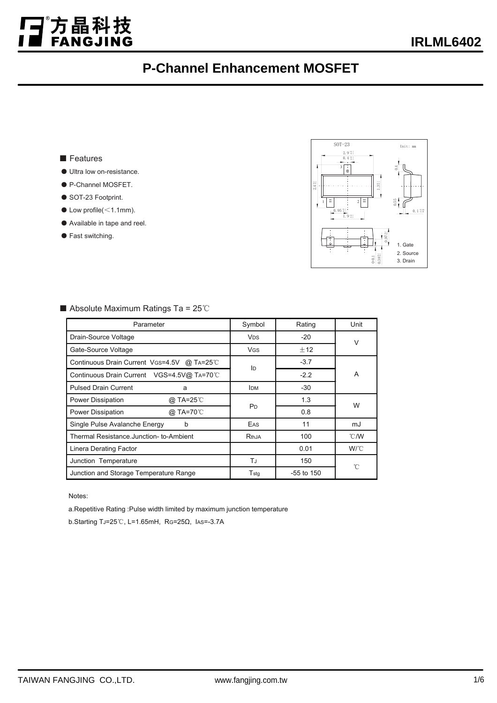#### ■ Features

j.

方晶科技<br>FANGJING

- Ultra low on-resistance
- P-Channel MOSFET.
- SOT-23 Footprint.
- $\bullet$  Low profile( $\leq$ 1.1mm).
- Available in tape and reel.
- Fast switching.



| Parameter                                  | Symbol                      | Rating         | Unit           |  |
|--------------------------------------------|-----------------------------|----------------|----------------|--|
| Drain-Source Voltage                       | <b>V<sub>DS</sub></b>       | $-20$          | $\vee$         |  |
| Gate-Source Voltage                        | <b>V<sub>GS</sub></b>       | ±12            |                |  |
| Continuous Drain Current VGS=4.5V @ TA=25℃ | ID                          | $-3.7$         | A              |  |
| Continuous Drain Current VGS=4.5V@ TA=70°C |                             | $-2.2$         |                |  |
| <b>Pulsed Drain Current</b><br>a           | <b>IDM</b>                  | $-30$          |                |  |
| Power Dissipation<br>@ TA=25℃              |                             | 1.3            | W              |  |
| @ TA=70°C<br>Power Dissipation             | P <sub>D</sub>              | 0.8            |                |  |
| Single Pulse Avalanche Energy<br>b         | EAS                         | 11             | mJ             |  |
| Thermal Resistance.Junction- to-Ambient    | RthJA                       | 100            | $^{\circ}$ C/W |  |
| Linera Derating Factor                     |                             | 0.01           | $W^{\circ}C$   |  |
| Junction Temperature                       | ТJ                          | 150            | 'n             |  |
| Junction and Storage Temperature Range     | $\mathsf{T}_{\mathsf{stg}}$ | $-55$ to $150$ |                |  |

■ Absolute Maximum Ratings Ta = 25℃

Notes:

a.Repetitive Rating :Pulse width limited by maximum junction temperature

b.Starting TJ=25℃, L=1.65mH, RG=25Ω, IAS=-3.7A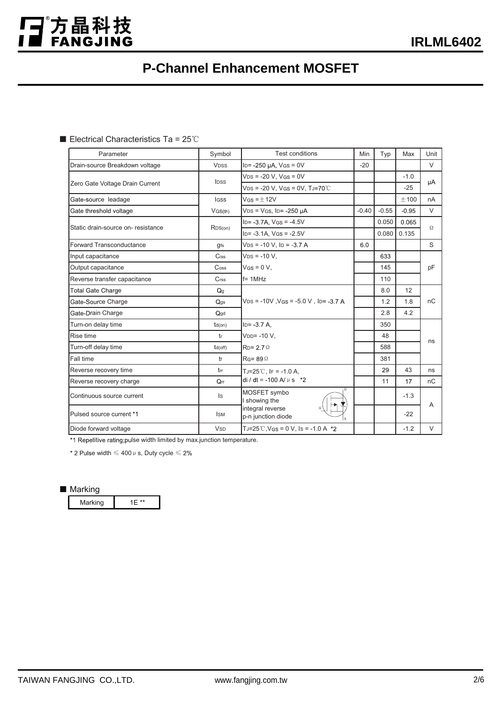■ Electrical Characteristics Ta = 25℃

j.

】<br>■ FANGJING

| Parameter                         | Symbol                | <b>Test conditions</b>                                                | Min     | Typ     | Max     | Unit     |
|-----------------------------------|-----------------------|-----------------------------------------------------------------------|---------|---------|---------|----------|
| Drain-source Breakdown voltage    | <b>VDSS</b>           | $ID = -250 \mu A$ , $V$ GS = 0V                                       | $-20$   |         |         | $\vee$   |
| Zero Gate Voltage Drain Current   | IDSS                  | $VDS = -20 V$ , $VGS = 0V$                                            |         |         | $-1.0$  |          |
|                                   |                       | $VDS = -20 V$ , $VGS = 0V$ , $TJ = 70^{\circ}$ C                      |         |         | $-25$   | μA       |
| Gate-source leadage               | <b>IGSS</b>           | $V$ GS = $+12V$                                                       |         |         | ±100    | nA       |
| Gate threshold voltage            | VGS(th)               | $VDS = VGS$ , $ID = -250 \mu A$                                       | $-0.40$ | $-0.55$ | $-0.95$ | $\vee$   |
| Static drain-source on-resistance | RDS(on)               | $ID = -3.7A$ , $VGS = -4.5V$                                          |         | 0.050   | 0.065   | $\Omega$ |
|                                   |                       | $ID = -3.1A$ , $VGS = -2.5V$                                          |         | 0.080   | 0.135   |          |
| Forward Transconductance          | gfs                   | $VDS = -10 V$ , $ID = -3.7 A$                                         | 6.0     |         |         | S        |
| Input capacitance                 | Ciss                  | $VDS = -10 V$ .                                                       |         | 633     |         |          |
| Output capacitance                | Coss                  | $V$ GS = 0 V,                                                         |         | 145     |         | pF       |
| Reverse transfer capacitance      | Crss                  | $f = 1MHz$                                                            |         | 110     |         |          |
| <b>Total Gate Charge</b>          | Q <sub>q</sub>        | $VDS = -10V$ , $VGS = -5.0 V$ , $ID = -3.7 A$                         |         | 8.0     | 12      |          |
| Gate-Source Charge                | Qgs                   |                                                                       |         | 1.2     | 1.8     | nC       |
| Gate-Drain Charge                 | Qgd                   |                                                                       |         | 2.8     | 4.2     |          |
| Turn-on delay time                | $td($ on $)$          | $ID = -3.7 A$                                                         |         | 350     |         |          |
| Rise time                         | tr                    | $VDD = -10 V$ ,                                                       |         | 48      |         | ns       |
| Turn-off delay time               | $td($ off $)$         | $RD = 2.7$ $\Omega$                                                   |         | 588     |         |          |
| Fall time                         | tf                    | $RG = 89 \Omega$                                                      |         | 381     |         |          |
| Reverse recovery time             | tm                    | $TJ = 25^{\circ}C$ . IF = -1.0 A.<br>di / dt = -100 A/ $\mu$ s *2     |         | 29      | 43      | ns       |
| Reverse recovery charge           | $Q_{rr}$              |                                                                       |         | 11      | 17      | nC       |
| Continuous source current         | Is                    | MOSFET symbo<br>showing the<br>integral reverse<br>p-n junction diode |         |         | $-1.3$  | A        |
| Pulsed source current *1          | <b>ISM</b>            |                                                                       |         |         | $-22$   |          |
| Diode forward voltage             | <b>V<sub>SD</sub></b> | TJ=25°C, VGS = 0 V, IS = -1.0 A $*2$                                  |         |         | $-1.2$  | V        |

\*1 Repetitive rating;pulse width limited by max.junction temperature.

\* 2 Pulse width  $\leq 400 \,\mu$  s, Duty cycle  $\leq 2\%$ 

#### ■ Marking

|  | Marking |  |
|--|---------|--|
|--|---------|--|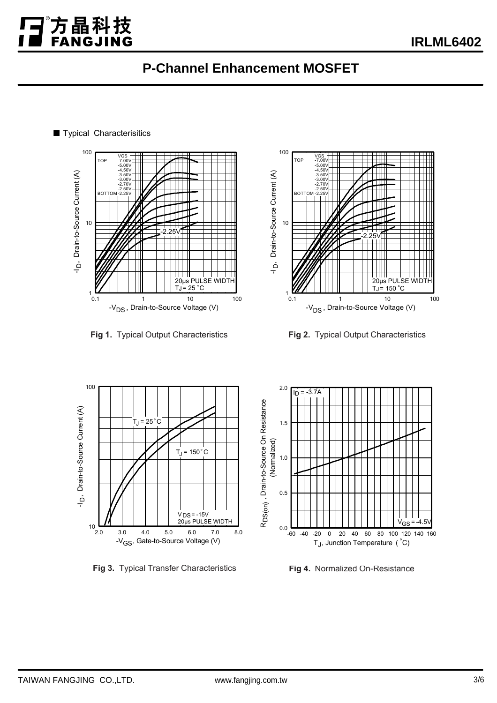



**Fig 1.** Typical Output Characteristics **Fig 2.** Typical Output Characteristics



**Fig 3.** Typical Transfer Characteristics



**Fig 4.** Normalized On-Resistance

■ Typical Characterisitics

j.

方晶科技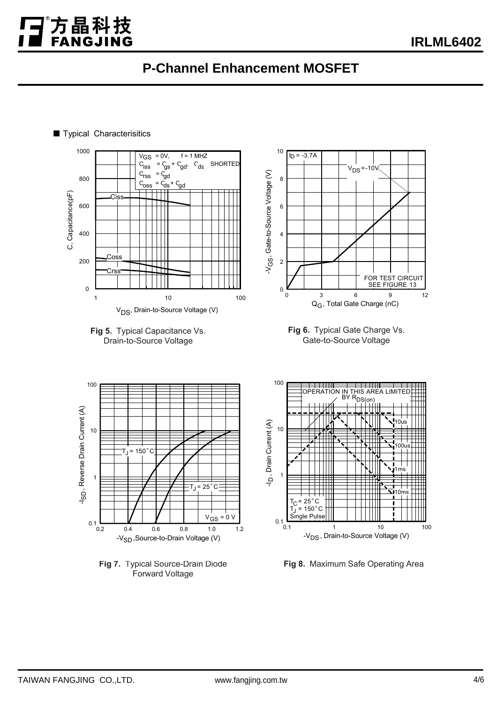

#### ■ Typical Characterisitics

j.

方晶科技



**Fig 7.** Typical Source-Drain Diode Forward Voltage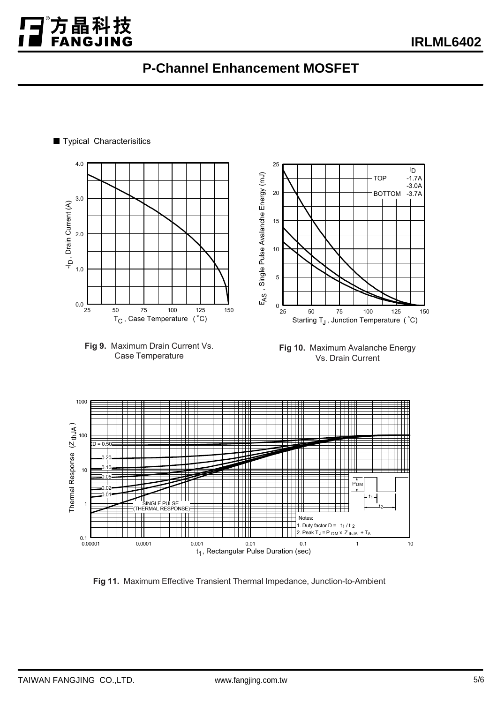25



**Fig 11.** Maximum Effective Transient Thermal Impedance, Junction-to-Ambient

0.00001 0.0001 0.001 0.01 0.1 1 10

t<sub>1</sub>, Rectangular Pulse Duration (sec)

# 4.0

■ Typical Characterisitics

j.

方晶科技